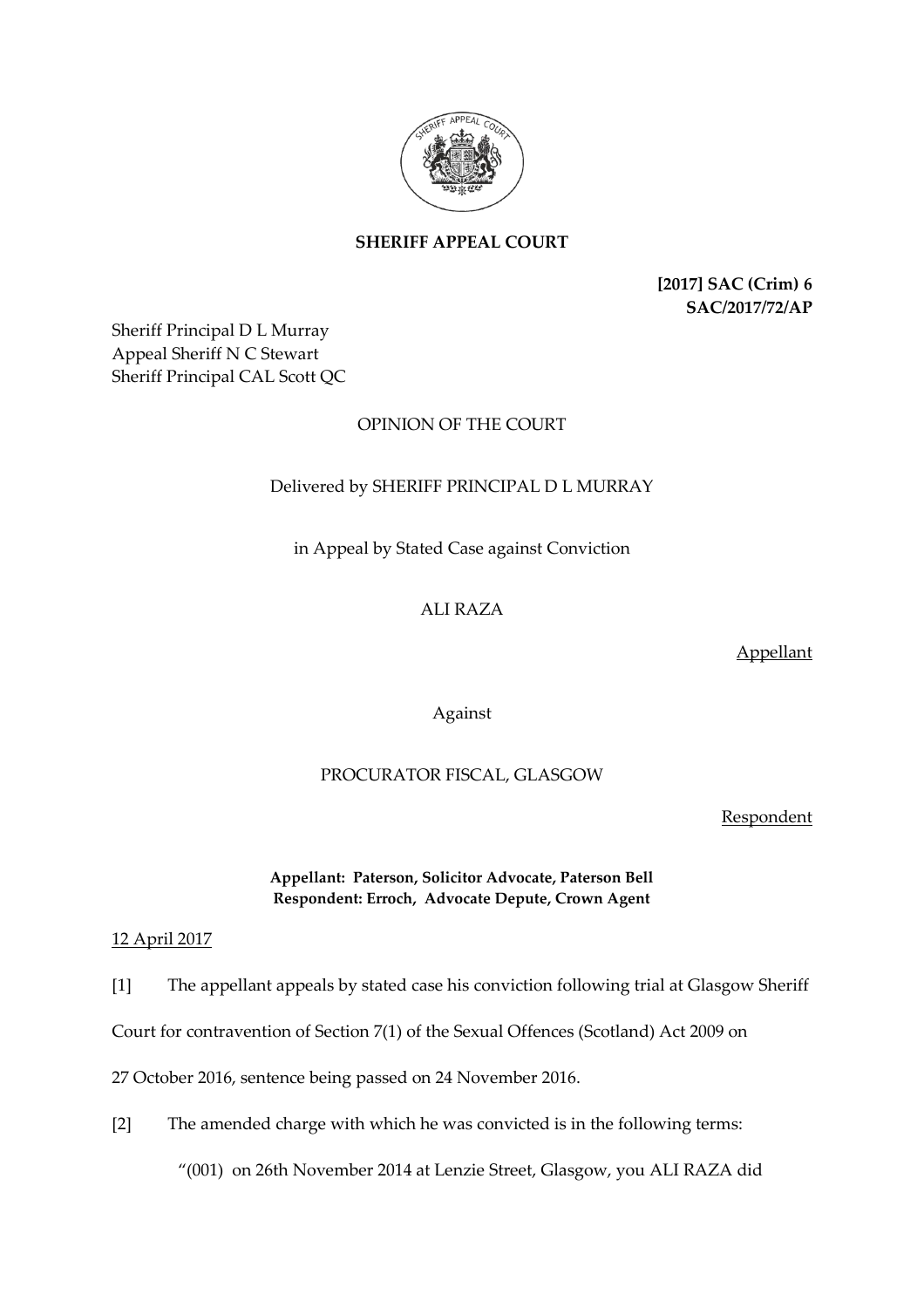

# **SHERIFF APPEAL COURT**

**[2017] SAC (Crim) 6 SAC/2017/72/AP**

Sheriff Principal D L Murray Appeal Sheriff N C Stewart Sheriff Principal CAL Scott QC

# OPINION OF THE COURT

## Delivered by SHERIFF PRINCIPAL D L MURRAY

in Appeal by Stated Case against Conviction

## ALI RAZA

Appellant

Against

#### PROCURATOR FISCAL, GLASGOW

Respondent

### **Appellant: Paterson, Solicitor Advocate, Paterson Bell Respondent: Erroch, Advocate Depute, Crown Agent**

12 April 2017

[1] The appellant appeals by stated case his conviction following trial at Glasgow Sheriff

Court for contravention of Section 7(1) of the Sexual Offences (Scotland) Act 2009 on

27 October 2016, sentence being passed on 24 November 2016.

[2] The amended charge with which he was convicted is in the following terms:

"(001) on 26th November 2014 at Lenzie Street, Glasgow, you ALI RAZA did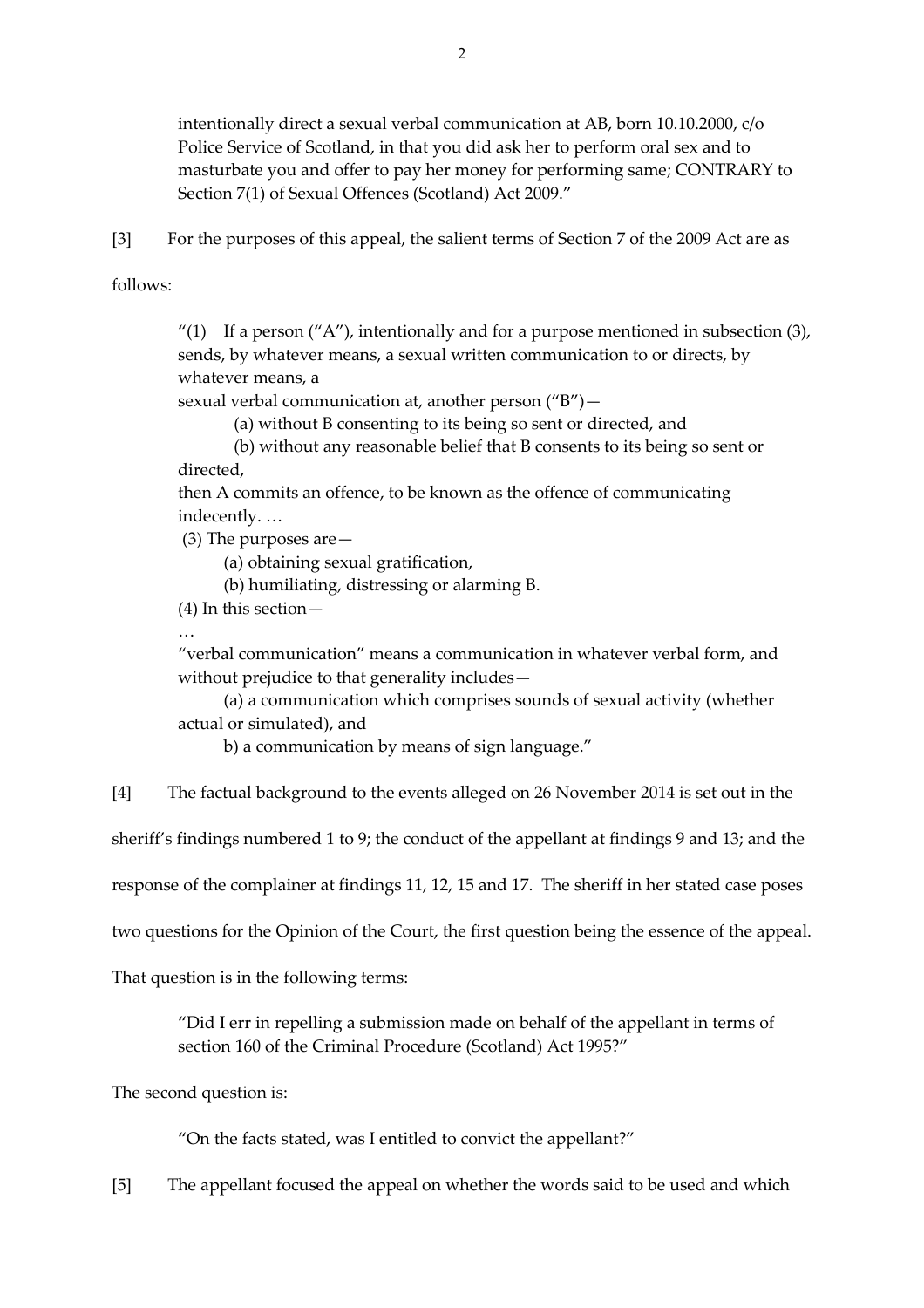intentionally direct a sexual verbal communication at AB, born 10.10.2000, c/o Police Service of Scotland, in that you did ask her to perform oral sex and to masturbate you and offer to pay her money for performing same; CONTRARY to Section 7(1) of Sexual Offences (Scotland) Act 2009."

[3] For the purposes of this appeal, the salient terms of Section 7 of the 2009 Act are as

follows:

"(1) If a person ("A"), intentionally and for a purpose mentioned in subsection  $(3)$ , sends, by whatever means, a sexual written communication to or directs, by whatever means, a

sexual verbal communication at, another person ("B")—

(a) without B consenting to its being so sent or directed, and

(b) without any reasonable belief that B consents to its being so sent or directed,

then A commits an offence, to be known as the offence of communicating indecently. …

(3) The purposes are—

(a) obtaining sexual gratification,

(b) humiliating, distressing or alarming B.

(4) In this section—

…

"verbal communication" means a communication in whatever verbal form, and without prejudice to that generality includes—

(a) a communication which comprises sounds of sexual activity (whether actual or simulated), and

b) a communication by means of sign language."

[4] The factual background to the events alleged on 26 November 2014 is set out in the

sheriff's findings numbered 1 to 9; the conduct of the appellant at findings 9 and 13; and the

response of the complainer at findings 11, 12, 15 and 17. The sheriff in her stated case poses

two questions for the Opinion of the Court, the first question being the essence of the appeal.

That question is in the following terms:

"Did I err in repelling a submission made on behalf of the appellant in terms of section 160 of the Criminal Procedure (Scotland) Act 1995?"

The second question is:

"On the facts stated, was I entitled to convict the appellant?"

[5] The appellant focused the appeal on whether the words said to be used and which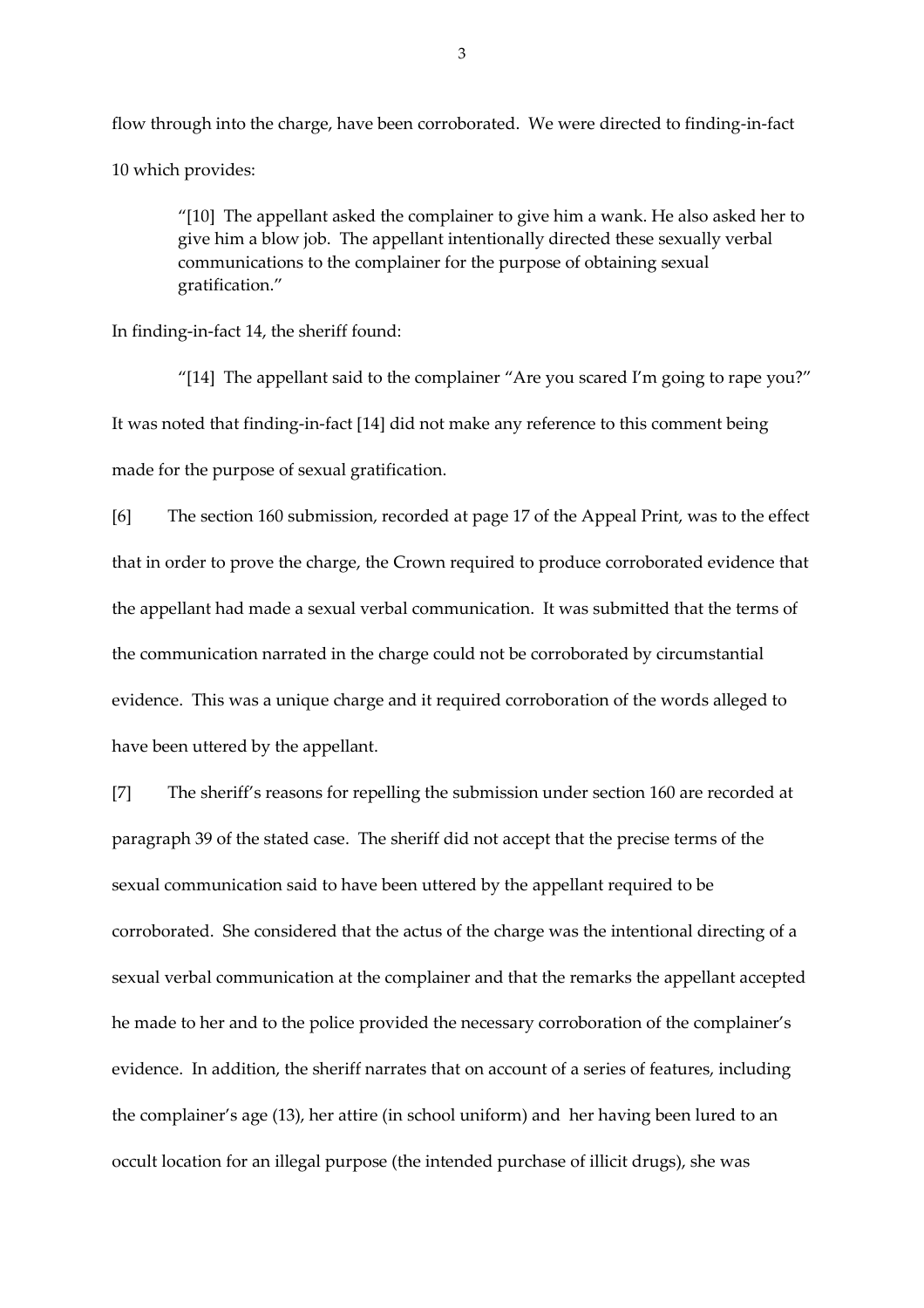flow through into the charge, have been corroborated. We were directed to finding-in-fact 10 which provides:

"[10] The appellant asked the complainer to give him a wank. He also asked her to give him a blow job. The appellant intentionally directed these sexually verbal communications to the complainer for the purpose of obtaining sexual gratification."

In finding-in-fact 14, the sheriff found:

"[14] The appellant said to the complainer "Are you scared I'm going to rape you?" It was noted that finding-in-fact [14] did not make any reference to this comment being made for the purpose of sexual gratification.

[6] The section 160 submission, recorded at page 17 of the Appeal Print, was to the effect that in order to prove the charge, the Crown required to produce corroborated evidence that the appellant had made a sexual verbal communication. It was submitted that the terms of the communication narrated in the charge could not be corroborated by circumstantial evidence. This was a unique charge and it required corroboration of the words alleged to have been uttered by the appellant.

[7] The sheriff's reasons for repelling the submission under section 160 are recorded at paragraph 39 of the stated case. The sheriff did not accept that the precise terms of the sexual communication said to have been uttered by the appellant required to be corroborated. She considered that the actus of the charge was the intentional directing of a sexual verbal communication at the complainer and that the remarks the appellant accepted he made to her and to the police provided the necessary corroboration of the complainer's evidence. In addition, the sheriff narrates that on account of a series of features, including the complainer's age (13), her attire (in school uniform) and her having been lured to an occult location for an illegal purpose (the intended purchase of illicit drugs), she was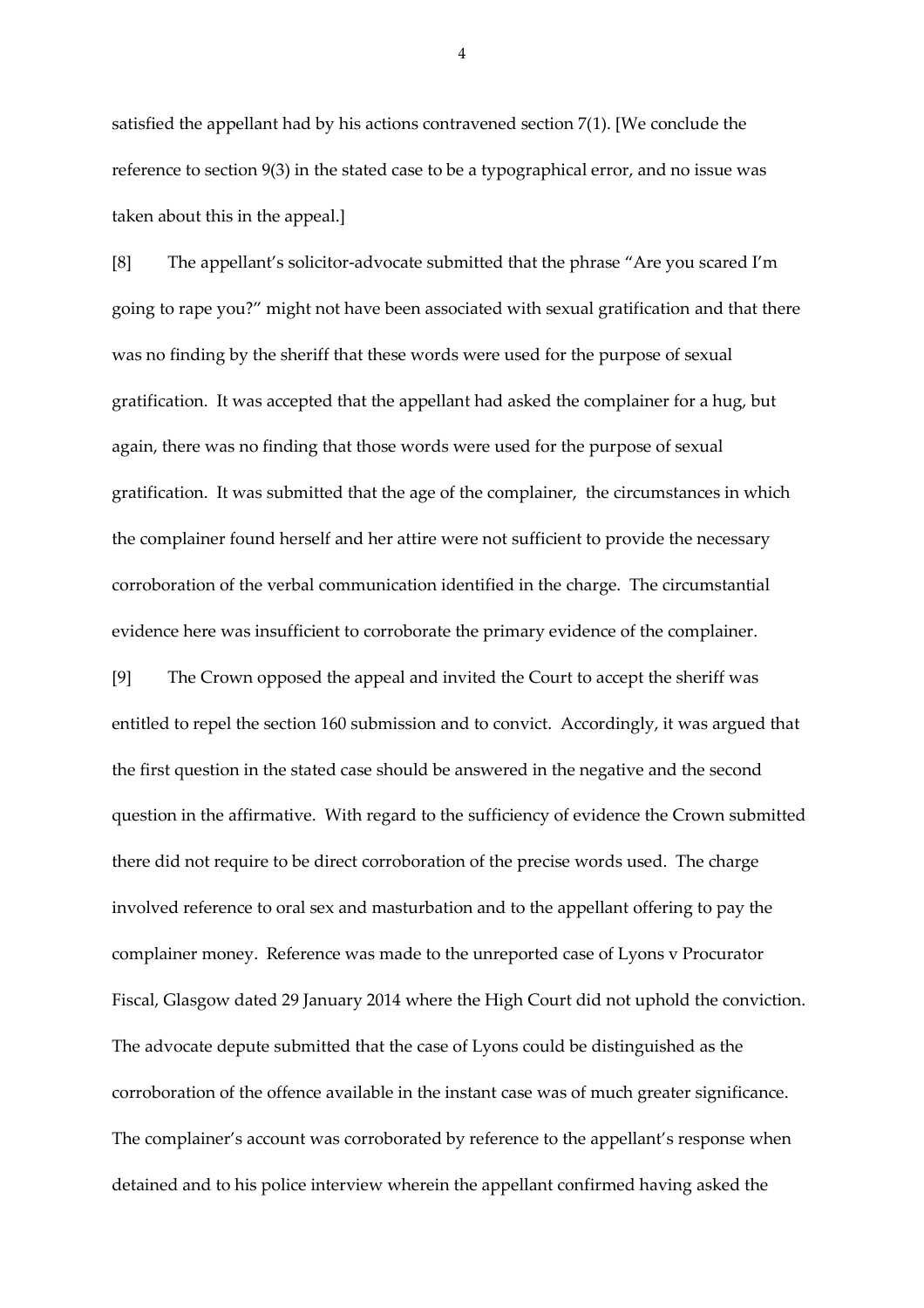satisfied the appellant had by his actions contravened section 7(1). [We conclude the reference to section 9(3) in the stated case to be a typographical error, and no issue was taken about this in the appeal.]

[8] The appellant's solicitor-advocate submitted that the phrase "Are you scared I'm going to rape you?" might not have been associated with sexual gratification and that there was no finding by the sheriff that these words were used for the purpose of sexual gratification. It was accepted that the appellant had asked the complainer for a hug, but again, there was no finding that those words were used for the purpose of sexual gratification. It was submitted that the age of the complainer, the circumstances in which the complainer found herself and her attire were not sufficient to provide the necessary corroboration of the verbal communication identified in the charge. The circumstantial evidence here was insufficient to corroborate the primary evidence of the complainer.

[9] The Crown opposed the appeal and invited the Court to accept the sheriff was entitled to repel the section 160 submission and to convict. Accordingly, it was argued that the first question in the stated case should be answered in the negative and the second question in the affirmative. With regard to the sufficiency of evidence the Crown submitted there did not require to be direct corroboration of the precise words used. The charge involved reference to oral sex and masturbation and to the appellant offering to pay the complainer money. Reference was made to the unreported case of Lyons v Procurator Fiscal, Glasgow dated 29 January 2014 where the High Court did not uphold the conviction. The advocate depute submitted that the case of Lyons could be distinguished as the corroboration of the offence available in the instant case was of much greater significance. The complainer's account was corroborated by reference to the appellant's response when detained and to his police interview wherein the appellant confirmed having asked the

4